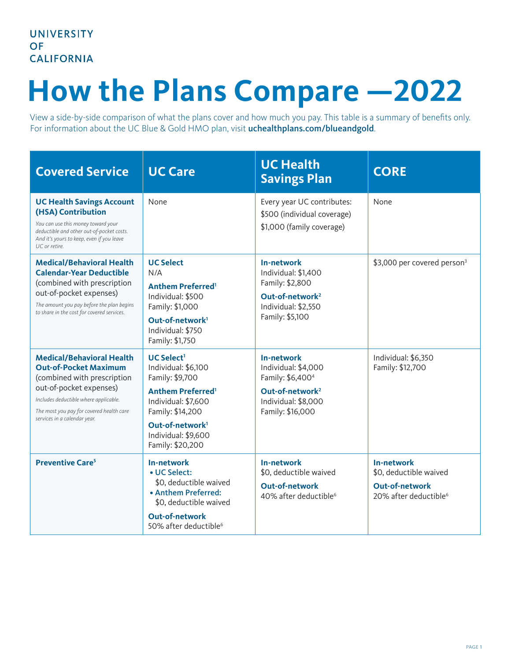## **How the Plans Compare —2022**

View a side-by-side comparison of what the plans cover and how much you pay. This table is a summary of benefits only. For information about the UC Blue & Gold HMO plan, visit [uchealthplans.com/blueandgold](https://uchealthplans.com/blueandgold/).

| <b>Covered Service</b>                                                                                                                                                                                                                          | <b>UC Care</b>                                                                                                                                                                                                                 | <b>UC Health</b><br><b>Savings Plan</b>                                                                                                            | <b>CORE</b>                                                                                        |
|-------------------------------------------------------------------------------------------------------------------------------------------------------------------------------------------------------------------------------------------------|--------------------------------------------------------------------------------------------------------------------------------------------------------------------------------------------------------------------------------|----------------------------------------------------------------------------------------------------------------------------------------------------|----------------------------------------------------------------------------------------------------|
| <b>UC Health Savings Account</b><br>(HSA) Contribution<br>You can use this money toward your<br>deductible and other out-of-pocket costs.<br>And it's yours to keep, even if you leave<br>UC or retire.                                         | None                                                                                                                                                                                                                           | Every year UC contributes:<br>\$500 (individual coverage)<br>\$1,000 (family coverage)                                                             | None                                                                                               |
| <b>Medical/Behavioral Health</b><br><b>Calendar-Year Deductible</b><br>(combined with prescription<br>out-of-pocket expenses)<br>The amount you pay before the plan begins<br>to share in the cost for covered services.                        | <b>UC Select</b><br>N/A<br><b>Anthem Preferred</b> <sup>1</sup><br>Individual: \$500<br>Family: \$1,000<br>Out-of-network <sup>1</sup><br>Individual: \$750<br>Family: \$1,750                                                 | <b>In-network</b><br>Individual: \$1,400<br>Family: \$2,800<br>Out-of-network <sup>2</sup><br>Individual: \$2,550<br>Family: \$5,100               | \$3,000 per covered person <sup>3</sup>                                                            |
| <b>Medical/Behavioral Health</b><br><b>Out-of-Pocket Maximum</b><br>(combined with prescription<br>out-of-pocket expenses)<br>Includes deductible where applicable.<br>The most you pay for covered health care<br>services in a calendar year. | $UC$ Select <sup>1</sup><br>Individual: \$6,100<br>Family: \$9,700<br><b>Anthem Preferred<sup>1</sup></b><br>Individual: \$7,600<br>Family: \$14,200<br>Out-of-network <sup>1</sup><br>Individual: \$9,600<br>Family: \$20,200 | <b>In-network</b><br>Individual: \$4,000<br>Family: \$6,400 <sup>4</sup><br>Out-of-network <sup>2</sup><br>Individual: \$8,000<br>Family: \$16,000 | Individual: \$6,350<br>Family: \$12,700                                                            |
| <b>Preventive Care<sup>5</sup></b>                                                                                                                                                                                                              | In-network<br>• UC Select:<br>\$0, deductible waived<br>• Anthem Preferred:<br>\$0, deductible waived<br><b>Out-of-network</b><br>50% after deductible <sup>6</sup>                                                            | <b>In-network</b><br>\$0, deductible waived<br><b>Out-of-network</b><br>40% after deductible <sup>6</sup>                                          | In-network<br>\$0, deductible waived<br><b>Out-of-network</b><br>20% after deductible <sup>6</sup> |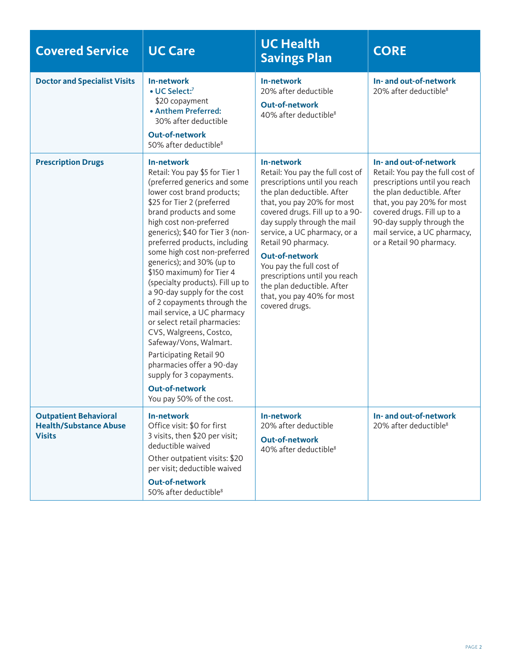| <b>Covered Service</b>                                                         | <b>UC Care</b>                                                                                                                                                                                                                                                                                                                                                                                                                                                                                                                                                                                                                                                                                                                | <b>UC Health</b><br><b>Savings Plan</b>                                                                                                                                                                                                                                                                                                                                                                                                  | <b>CORE</b>                                                                                                                                                                                                                                                                     |
|--------------------------------------------------------------------------------|-------------------------------------------------------------------------------------------------------------------------------------------------------------------------------------------------------------------------------------------------------------------------------------------------------------------------------------------------------------------------------------------------------------------------------------------------------------------------------------------------------------------------------------------------------------------------------------------------------------------------------------------------------------------------------------------------------------------------------|------------------------------------------------------------------------------------------------------------------------------------------------------------------------------------------------------------------------------------------------------------------------------------------------------------------------------------------------------------------------------------------------------------------------------------------|---------------------------------------------------------------------------------------------------------------------------------------------------------------------------------------------------------------------------------------------------------------------------------|
| <b>Doctor and Specialist Visits</b>                                            | <b>In-network</b><br>• UC Select:7<br>\$20 copayment<br>• Anthem Preferred:<br>30% after deductible<br><b>Out-of-network</b><br>50% after deductible <sup>8</sup>                                                                                                                                                                                                                                                                                                                                                                                                                                                                                                                                                             | <b>In-network</b><br>20% after deductible<br><b>Out-of-network</b><br>40% after deductible <sup>8</sup>                                                                                                                                                                                                                                                                                                                                  | In- and out-of-network<br>20% after deductible <sup>8</sup>                                                                                                                                                                                                                     |
| <b>Prescription Drugs</b>                                                      | In-network<br>Retail: You pay \$5 for Tier 1<br>(preferred generics and some<br>lower cost brand products;<br>\$25 for Tier 2 (preferred<br>brand products and some<br>high cost non-preferred<br>generics); \$40 for Tier 3 (non-<br>preferred products, including<br>some high cost non-preferred<br>generics); and 30% (up to<br>\$150 maximum) for Tier 4<br>(specialty products). Fill up to<br>a 90-day supply for the cost<br>of 2 copayments through the<br>mail service, a UC pharmacy<br>or select retail pharmacies:<br>CVS, Walgreens, Costco,<br>Safeway/Vons, Walmart.<br>Participating Retail 90<br>pharmacies offer a 90-day<br>supply for 3 copayments.<br><b>Out-of-network</b><br>You pay 50% of the cost. | In-network<br>Retail: You pay the full cost of<br>prescriptions until you reach<br>the plan deductible. After<br>that, you pay 20% for most<br>covered drugs. Fill up to a 90-<br>day supply through the mail<br>service, a UC pharmacy, or a<br>Retail 90 pharmacy.<br><b>Out-of-network</b><br>You pay the full cost of<br>prescriptions until you reach<br>the plan deductible. After<br>that, you pay 40% for most<br>covered drugs. | In- and out-of-network<br>Retail: You pay the full cost of<br>prescriptions until you reach<br>the plan deductible. After<br>that, you pay 20% for most<br>covered drugs. Fill up to a<br>90-day supply through the<br>mail service, a UC pharmacy,<br>or a Retail 90 pharmacy. |
| <b>Outpatient Behavioral</b><br><b>Health/Substance Abuse</b><br><b>Visits</b> | <b>In-network</b><br>Office visit: \$0 for first<br>3 visits, then \$20 per visit;<br>deductible waived<br>Other outpatient visits: \$20<br>per visit; deductible waived<br><b>Out-of-network</b><br>50% after deductible <sup>8</sup>                                                                                                                                                                                                                                                                                                                                                                                                                                                                                        | <b>In-network</b><br>20% after deductible<br><b>Out-of-network</b><br>40% after deductible <sup>8</sup>                                                                                                                                                                                                                                                                                                                                  | In- and out-of-network<br>20% after deductible <sup>8</sup>                                                                                                                                                                                                                     |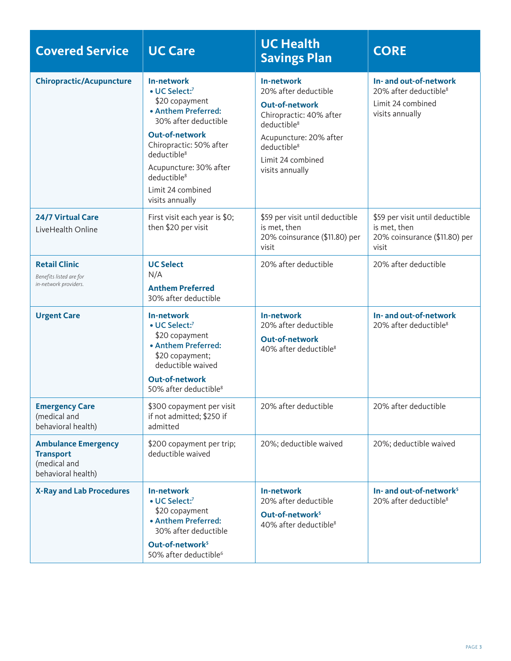| <b>Covered Service</b>                                                               | <b>UC Care</b>                                                                                                                                                                                                                                                           | <b>UC Health</b><br><b>Savings Plan</b>                                                                                                                                                                        | <b>CORE</b>                                                                                         |
|--------------------------------------------------------------------------------------|--------------------------------------------------------------------------------------------------------------------------------------------------------------------------------------------------------------------------------------------------------------------------|----------------------------------------------------------------------------------------------------------------------------------------------------------------------------------------------------------------|-----------------------------------------------------------------------------------------------------|
| <b>Chiropractic/Acupuncture</b>                                                      | In-network<br>• UC Select:7<br>\$20 copayment<br>• Anthem Preferred:<br>30% after deductible<br><b>Out-of-network</b><br>Chiropractic: 50% after<br>deductible <sup>8</sup><br>Acupuncture: 30% after<br>deductible <sup>8</sup><br>Limit 24 combined<br>visits annually | In-network<br>20% after deductible<br><b>Out-of-network</b><br>Chiropractic: 40% after<br>deductible <sup>8</sup><br>Acupuncture: 20% after<br>deductible <sup>8</sup><br>Limit 24 combined<br>visits annually | In- and out-of-network<br>20% after deductible <sup>8</sup><br>Limit 24 combined<br>visits annually |
| 24/7 Virtual Care<br>LiveHealth Online                                               | First visit each year is \$0;<br>then \$20 per visit                                                                                                                                                                                                                     | \$59 per visit until deductible<br>is met, then<br>20% coinsurance (\$11.80) per<br>visit                                                                                                                      | \$59 per visit until deductible<br>is met, then<br>20% coinsurance (\$11.80) per<br>visit           |
| <b>Retail Clinic</b><br>Benefits listed are for<br>in-network providers.             | <b>UC Select</b><br>N/A<br><b>Anthem Preferred</b><br>30% after deductible                                                                                                                                                                                               | 20% after deductible                                                                                                                                                                                           | 20% after deductible                                                                                |
| <b>Urgent Care</b>                                                                   | In-network<br>• UC Select:7<br>\$20 copayment<br>• Anthem Preferred:<br>\$20 copayment;<br>deductible waived<br><b>Out-of-network</b><br>50% after deductible <sup>8</sup>                                                                                               | In-network<br>20% after deductible<br><b>Out-of-network</b><br>40% after deductible <sup>8</sup>                                                                                                               | In- and out-of-network<br>20% after deductible <sup>8</sup>                                         |
| <b>Emergency Care</b><br>(medical and<br>behavioral health)                          | \$300 copayment per visit<br>if not admitted; \$250 if<br>admitted                                                                                                                                                                                                       | 20% after deductible                                                                                                                                                                                           | 20% after deductible                                                                                |
| <b>Ambulance Emergency</b><br><b>Transport</b><br>(medical and<br>behavioral health) | \$200 copayment per trip;<br>deductible waived                                                                                                                                                                                                                           | 20%; deductible waived                                                                                                                                                                                         | 20%; deductible waived                                                                              |
| <b>X-Ray and Lab Procedures</b>                                                      | <b>In-network</b><br>• UC Select:7<br>\$20 copayment<br>• Anthem Preferred:<br>30% after deductible<br>Out-of-network <sup>5</sup><br>50% after deductible <sup>6</sup>                                                                                                  | In-network<br>20% after deductible<br>Out-of-network <sup>5</sup><br>40% after deductible <sup>8</sup>                                                                                                         | In- and out-of-network <sup>5</sup><br>20% after deductible <sup>8</sup>                            |